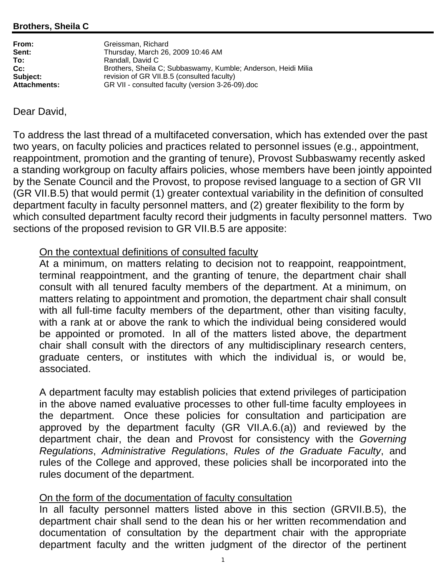| From:        | Greissman, Richard                                            |
|--------------|---------------------------------------------------------------|
| Sent:        | Thursday, March 26, 2009 10:46 AM                             |
| To:          | Randall, David C                                              |
| Cc:          | Brothers, Sheila C; Subbaswamy, Kumble; Anderson, Heidi Milia |
| Subject:     | revision of GR VII.B.5 (consulted faculty)                    |
| Attachments: | GR VII - consulted faculty (version 3-26-09).doc              |

## Dear David,

To address the last thread of a multifaceted conversation, which has extended over the past two years, on faculty policies and practices related to personnel issues (e.g., appointment, reappointment, promotion and the granting of tenure), Provost Subbaswamy recently asked a standing workgroup on faculty affairs policies, whose members have been jointly appointed by the Senate Council and the Provost, to propose revised language to a section of GR VII (GR VII.B.5) that would permit (1) greater contextual variability in the definition of consulted department faculty in faculty personnel matters, and (2) greater flexibility to the form by which consulted department faculty record their judgments in faculty personnel matters. Two sections of the proposed revision to GR VII.B.5 are apposite:

## On the contextual definitions of consulted faculty

At a minimum, on matters relating to decision not to reappoint, reappointment, terminal reappointment, and the granting of tenure, the department chair shall consult with all tenured faculty members of the department. At a minimum, on matters relating to appointment and promotion, the department chair shall consult with all full-time faculty members of the department, other than visiting faculty, with a rank at or above the rank to which the individual being considered would be appointed or promoted. In all of the matters listed above, the department chair shall consult with the directors of any multidisciplinary research centers, graduate centers, or institutes with which the individual is, or would be, associated.

A department faculty may establish policies that extend privileges of participation in the above named evaluative processes to other full-time faculty employees in the department. Once these policies for consultation and participation are approved by the department faculty (GR VII.A.6.(a)) and reviewed by the department chair, the dean and Provost for consistency with the *Governing Regulations*, *Administrative Regulations*, *Rules of the Graduate Faculty*, and rules of the College and approved, these policies shall be incorporated into the rules document of the department.

## On the form of the documentation of faculty consultation

In all faculty personnel matters listed above in this section (GRVII.B.5), the department chair shall send to the dean his or her written recommendation and documentation of consultation by the department chair with the appropriate department faculty and the written judgment of the director of the pertinent